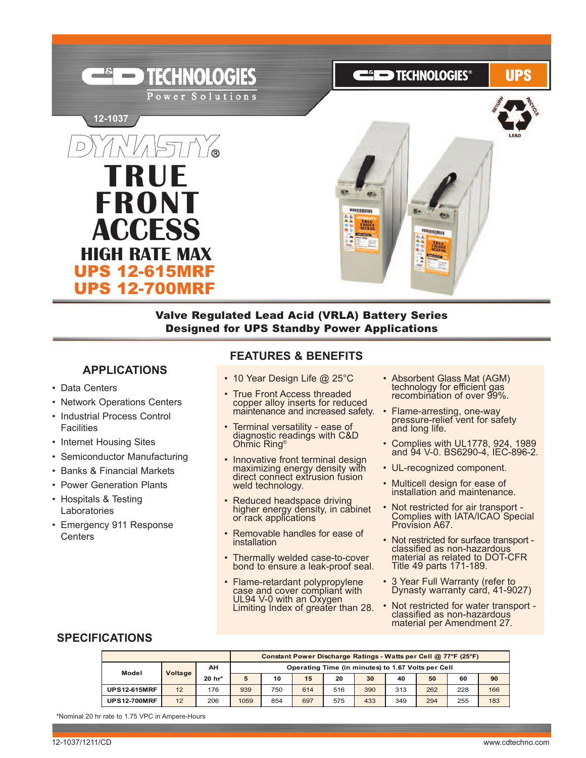

Valve Regulated Lead Acid (VRLA) Battery Series Designed for UPS Standby Power Applications

#### **APPLICATIONS**

- Data Centers
- Network Operations Centers
- Industrial Process Control **Facilities**
- Internet Housing Sites
- Semiconductor Manufacturing
- Banks & Financial Markets
- Power Generation Plants
- Hospitals & Testing Laboratories
- Emergency 911 Response **Centers**

### **FEATURES & BENEFITS**

- 10 Year Design Life @ 25°C
- True Front Access threaded copper alloy inserts for reduced maintenance and increased safety.
- Terminal versatility ease of diagnostic readings with C&D Ohmic Ring®
- Innovative front terminal design maximizing energy density with direct connect extrusion fusion weld technology.
- Reduced headspace driving higher energy density, in cabinet or rack applications
- Removable handles for ease of installation
- Thermally welded case-to-cover bond to ensure a leak-proof seal.
- Flame-retardant polypropylene case and cover compliant with UL94 V-0 with an Oxygen Limiting Index of greater than 28.
- Absorbent Glass Mat (AGM)<br>technology for efficient gas recombination of over 99%.
- Flame-arresting, one-way pressure-relief vent for safety and long life.
- Complies with UL1778, 924, 1989 and 94 V-0. BS6290-4, IEC-896-2.
- UL-recognized component.
- Multicell design for ease of installation and maintenance.
- Not restricted for air transport Complies with IATA/ICAO Special Provision A67.
- Not restricted for surface transport classified as non-hazardous material as related to DOT-CFR Title 49 parts 171-189.
- 3 Year Full Warranty (refer to Dynasty warranty card, 41-9027)
- Not restricted for water transport classified as non-hazardous material per Amendment 27.

## **SPECIFICATIONS**

|                     |         |        |      | Constant Power Discharge Ratings - Watts per Cell @ 77°F (25°F) |     |     |     |     |     |     |     |  |  |
|---------------------|---------|--------|------|-----------------------------------------------------------------|-----|-----|-----|-----|-----|-----|-----|--|--|
| Model               | Voltage | AΗ     |      | Operating Time (in minutes) to 1.67 Volts per Cell              |     |     |     |     |     |     |     |  |  |
|                     |         | 20 hr* | 5    | 10                                                              | 15  | 20  | 30  | 40  | 50  | 60  | 90  |  |  |
| <b>UPS12-615MRF</b> | 12      | 176    | 939  | 750                                                             | 614 | 516 | 390 | 313 | 262 | 228 | 166 |  |  |
| <b>UPS12-700MRF</b> | 12      | 206    | 1059 | 854                                                             | 697 | 575 | 433 | 349 | 294 | 255 | 183 |  |  |

\*Nominal 20 hr rate to 1.75 VPC in Ampere-Hours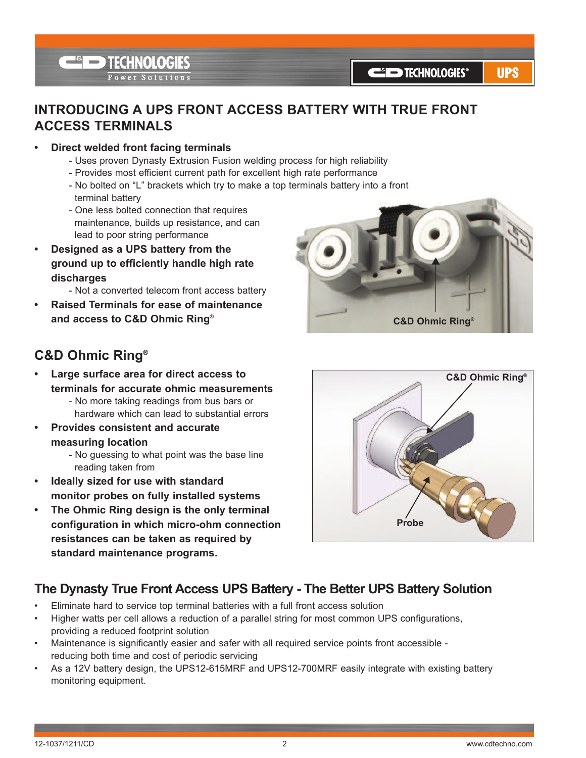**E**<sup><sup>6</sup> TECHNOLOGIES</sup> Power Solutions

**UPS** 

## **INTRODUCING A UPS FRONT ACCESS BATTERY WITH TRUE FRONT ACCESS TERMINALS**

- **• Direct welded front facing terminals**
	- Uses proven Dynasty Extrusion Fusion welding process for high reliability
	- Provides most efficient current path for excellent high rate performance
	- No bolted on "L" brackets which try to make a top terminals battery into a front terminal battery
	- One less bolted connection that requires maintenance, builds up resistance, and can lead to poor string performance
- **• Designed as a UPS battery from the ground up to efficiently handle high rate discharges**
	- Not a converted telecom front access battery
- **• Raised Terminals for ease of maintenance and access to C&D Ohmic Ring®**

# **C&D Ohmic Ring®**

- **• Large surface area for direct access to terminals for accurate ohmic measurements** - No more taking readings from bus bars or hardware which can lead to substantial errors
- **• Provides consistent and accurate measuring location**
	- No guessing to what point was the base line reading taken from
- **• Ideally sized for use with standard monitor probes on fully installed systems**
- **• The Ohmic Ring design is the only terminal configuration in which micro-ohm connection resistances can be taken as required by standard maintenance programs.**





## **The Dynasty True Front Access UPS Battery - The Better UPS Battery Solution**

- Eliminate hard to service top terminal batteries with a full front access solution
- Higher watts per cell allows a reduction of a parallel string for most common UPS configurations, providing a reduced footprint solution
- Maintenance is significantly easier and safer with all required service points front accessible reducing both time and cost of periodic servicing
- As a 12V battery design, the UPS12-615MRF and UPS12-700MRF easily integrate with existing battery monitoring equipment.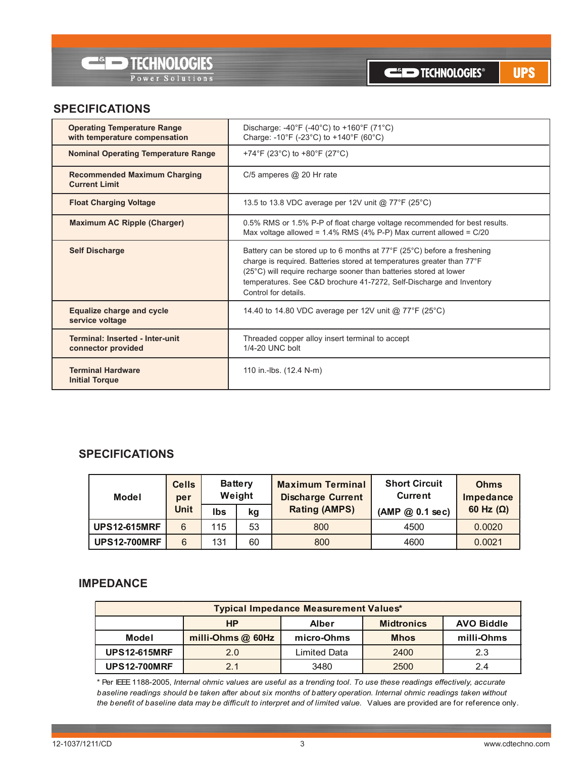

**UPS** 

### **SPECIFICATIONS**

| <b>Operating Temperature Range</b><br>with temperature compensation | Discharge: -40°F (-40°C) to +160°F (71°C)<br>Charge: -10°F (-23°C) to +140°F (60°C)                                                                                                                                                                                                                                                         |
|---------------------------------------------------------------------|---------------------------------------------------------------------------------------------------------------------------------------------------------------------------------------------------------------------------------------------------------------------------------------------------------------------------------------------|
| <b>Nominal Operating Temperature Range</b>                          | +74°F (23°C) to +80°F (27°C)                                                                                                                                                                                                                                                                                                                |
| <b>Recommended Maximum Charging</b><br><b>Current Limit</b>         | $C/5$ amperes $@$ 20 Hr rate                                                                                                                                                                                                                                                                                                                |
| <b>Float Charging Voltage</b>                                       | 13.5 to 13.8 VDC average per 12V unit @ 77°F (25°C)                                                                                                                                                                                                                                                                                         |
| <b>Maximum AC Ripple (Charger)</b>                                  | 0.5% RMS or 1.5% P-P of float charge voltage recommended for best results.<br>Max voltage allowed = $1.4\%$ RMS (4% P-P) Max current allowed = $C/20$                                                                                                                                                                                       |
| <b>Self Discharge</b>                                               | Battery can be stored up to 6 months at $77^{\circ}F$ (25 $^{\circ}C$ ) before a freshening<br>charge is required. Batteries stored at temperatures greater than 77°F<br>(25°C) will require recharge sooner than batteries stored at lower<br>temperatures. See C&D brochure 41-7272, Self-Discharge and Inventory<br>Control for details. |
| <b>Equalize charge and cycle</b><br>service voltage                 | 14.40 to 14.80 VDC average per 12V unit @ 77°F (25°C)                                                                                                                                                                                                                                                                                       |
| Terminal: Inserted - Inter-unit<br>connector provided               | Threaded copper alloy insert terminal to accept<br>1/4-20 UNC bolt                                                                                                                                                                                                                                                                          |
| <b>Terminal Hardware</b><br><b>Initial Torque</b>                   | 110 in.-lbs. (12.4 N-m)                                                                                                                                                                                                                                                                                                                     |

### **SPECIFICATIONS**

| Model               | <b>Cells</b><br>per |     | <b>Battery</b><br>Weight | <b>Maximum Terminal</b><br><b>Discharge Current</b> | <b>Short Circuit</b><br><b>Current</b> | <b>Ohms</b><br>Impedance |  |
|---------------------|---------------------|-----|--------------------------|-----------------------------------------------------|----------------------------------------|--------------------------|--|
|                     | <b>Unit</b>         | lbs | kg                       | <b>Rating (AMPS)</b>                                | (AMP @ 0.1 sec)                        | 60 Hz $(\Omega)$         |  |
| <b>UPS12-615MRF</b> | 6                   | 115 | 53                       | 800                                                 | 4500                                   | 0.0020                   |  |
| <b>UPS12-700MRF</b> | 6                   | 131 | 60                       | 800                                                 | 4600                                   | 0.0021                   |  |

#### **IMPEDANCE**

| <b>Typical Impedance Measurement Values*</b>                        |                                                |              |      |     |  |  |  |  |  |  |
|---------------------------------------------------------------------|------------------------------------------------|--------------|------|-----|--|--|--|--|--|--|
| <b>Midtronics</b><br><b>HP</b><br><b>AVO Biddle</b><br><b>Alber</b> |                                                |              |      |     |  |  |  |  |  |  |
| Model                                                               | milli-Ohms @ 60Hz<br>micro-Ohms<br><b>Mhos</b> |              |      |     |  |  |  |  |  |  |
| <b>UPS12-615MRF</b>                                                 | 2.0                                            | Limited Data | 2400 | 2.3 |  |  |  |  |  |  |
| <b>UPS12-700MRF</b>                                                 | 2.1                                            | 3480         | 2500 | 2.4 |  |  |  |  |  |  |

\* Per IEEE 1188-2005, *Internal ohmic values are useful as a trending tool. To use these readings effectively, accurate baseline readings should be taken after about six months of battery operation. Internal ohmic readings taken without the benefit of baseline data may be difficult to interpret and of limited value.* Values are provided are for reference only.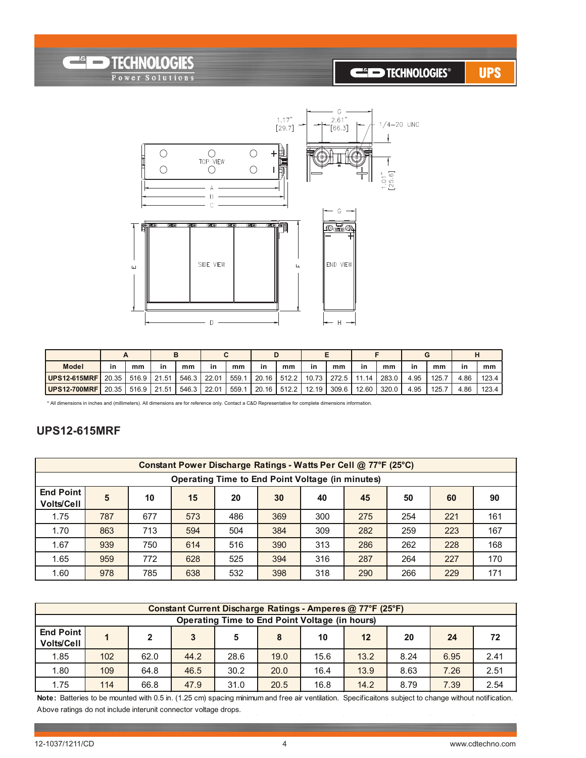## **CED TECHNOLOGIES®**

**UPS** 



| <b>Model</b>        | in    | mm          | in | mm          | in | mm    | in | mm | in                            | mm    | in    | mm    | in   | mm    | in   | mm    |
|---------------------|-------|-------------|----|-------------|----|-------|----|----|-------------------------------|-------|-------|-------|------|-------|------|-------|
| <b>UPS12-615MRF</b> | 20.35 | 516.9 21.51 |    | 546.3 22.01 |    | 559.1 |    |    | 20.16   512.2   10.73   272.5 |       | 11.14 | 283.0 | 4.95 | 125.7 | 4.86 | 123.4 |
| <b>UPS12-700MRF</b> | 20.35 | 516.9 21.51 |    | 546.3 22.01 |    | 559.1 |    |    | $20.16$ 512.2 12.19           | 309.6 | 12.60 | 320.0 | 4.95 | 125.7 | 4.86 | 123.4 |

\* All dimensions in inches and (millimeters). All dimensions are for reference only. Contact a C&D Representative for complete dimensions information.

#### **UPS12-615MRF**

**Example TECHNOLOGIES** 

Power Solutions

|                                                         | Constant Power Discharge Ratings - Watts Per Cell @ 77°F (25°C) |     |     |     |     |     |     |     |     |     |  |  |  |
|---------------------------------------------------------|-----------------------------------------------------------------|-----|-----|-----|-----|-----|-----|-----|-----|-----|--|--|--|
| <b>Operating Time to End Point Voltage (in minutes)</b> |                                                                 |     |     |     |     |     |     |     |     |     |  |  |  |
| <b>End Point</b><br><b>Volts/Cell</b>                   | 5                                                               | 10  | 15  | 20  | 30  | 40  | 45  | 50  | 60  | 90  |  |  |  |
| 1.75                                                    | 787                                                             | 677 | 573 | 486 | 369 | 300 | 275 | 254 | 221 | 161 |  |  |  |
| 1.70                                                    | 863                                                             | 713 | 594 | 504 | 384 | 309 | 282 | 259 | 223 | 167 |  |  |  |
| 1.67                                                    | 939                                                             | 750 | 614 | 516 | 390 | 313 | 286 | 262 | 228 | 168 |  |  |  |
| 1.65                                                    | 959                                                             | 772 | 628 | 525 | 394 | 316 | 287 | 264 | 227 | 170 |  |  |  |
| 1.60                                                    | 978                                                             | 785 | 638 | 532 | 398 | 318 | 290 | 266 | 229 | 171 |  |  |  |

|                                                       | Constant Current Discharge Ratings - Amperes @ 77°F (25°F)               |      |      |      |      |      |      |      |      |      |  |  |  |
|-------------------------------------------------------|--------------------------------------------------------------------------|------|------|------|------|------|------|------|------|------|--|--|--|
| <b>Operating Time to End Point Voltage (in hours)</b> |                                                                          |      |      |      |      |      |      |      |      |      |  |  |  |
| End Point<br><b>Volts/Cell</b>                        | 3<br>$12 \overline{ }$<br>72<br>10<br>8<br>20<br>24<br>$\mathbf{z}$<br>5 |      |      |      |      |      |      |      |      |      |  |  |  |
| 1.85                                                  | 102                                                                      | 62.0 | 44.2 | 28.6 | 19.0 | 15.6 | 13.2 | 8.24 | 6.95 | 2.41 |  |  |  |
| 1.80                                                  | 109                                                                      | 64.8 | 46.5 | 30.2 | 20.0 | 16.4 | 13.9 | 8.63 | 7.26 | 2.51 |  |  |  |
| 1.75                                                  | 114                                                                      | 66.8 | 47.9 | 31.0 | 20.5 | 16.8 | 14.2 | 8.79 | 7.39 | 2.54 |  |  |  |

**Note:** Batteries to be mounted with 0.5 in. (1.25 cm) spacing minimum and free air ventilation. Specificaitons subject to change without notification. Above ratings do not include interunit connector voltage drops.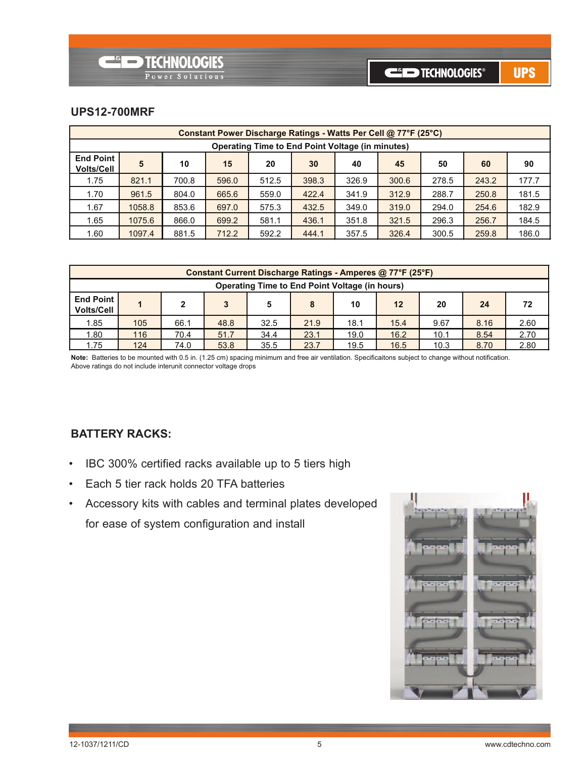#### **UPS12-700MRF**

|                                                         | Constant Power Discharge Ratings - Watts Per Cell @ 77°F (25°C) |       |       |       |       |       |       |       |       |       |  |  |  |
|---------------------------------------------------------|-----------------------------------------------------------------|-------|-------|-------|-------|-------|-------|-------|-------|-------|--|--|--|
| <b>Operating Time to End Point Voltage (in minutes)</b> |                                                                 |       |       |       |       |       |       |       |       |       |  |  |  |
| <b>End Point</b><br><b>Volts/Cell</b>                   | 5                                                               | 10    | 15    | 20    | 30    | 40    | 45    | 50    | 60    | 90    |  |  |  |
| 1.75                                                    | 821.1                                                           | 700.8 | 596.0 | 512.5 | 398.3 | 326.9 | 300.6 | 278.5 | 243.2 | 177.7 |  |  |  |
| 1.70                                                    | 961.5                                                           | 804.0 | 665.6 | 559.0 | 422.4 | 341.9 | 312.9 | 288.7 | 250.8 | 181.5 |  |  |  |
| 1.67                                                    | 1058.8                                                          | 853.6 | 697.0 | 575.3 | 432.5 | 349.0 | 319.0 | 294.0 | 254.6 | 182.9 |  |  |  |
| 1.65                                                    | 1075.6                                                          | 866.0 | 699.2 | 581.1 | 436.1 | 351.8 | 321.5 | 296.3 | 256.7 | 184.5 |  |  |  |
| 1.60                                                    | 1097.4                                                          | 881.5 | 712.2 | 592.2 | 444.1 | 357.5 | 326.4 | 300.5 | 259.8 | 186.0 |  |  |  |

|                                                       | Constant Current Discharge Ratings - Amperes @ 77°F (25°F) |                                                                      |      |      |      |      |      |      |      |      |  |  |
|-------------------------------------------------------|------------------------------------------------------------|----------------------------------------------------------------------|------|------|------|------|------|------|------|------|--|--|
| <b>Operating Time to End Point Voltage (in hours)</b> |                                                            |                                                                      |      |      |      |      |      |      |      |      |  |  |
| <b>End Point I</b><br><b>Volts/Cell</b>               | 20<br>24<br>8<br>10<br>12<br>72                            |                                                                      |      |      |      |      |      |      |      |      |  |  |
| 1.85                                                  | 105                                                        | 66.1                                                                 | 48.8 | 32.5 | 21.9 | 18.1 | 15.4 | 9.67 | 8.16 | 2.60 |  |  |
| 1.80                                                  | 116                                                        | 2.70<br>34.4<br>16.2<br>23.1<br>19.0<br>10.1<br>8.54<br>70.4<br>51.7 |      |      |      |      |      |      |      |      |  |  |
| 1.75                                                  | 124                                                        | 74.0                                                                 | 53.8 | 35.5 | 23.7 | 19.5 | 16.5 | 10.3 | 8.70 | 2.80 |  |  |

**Note:** Batteries to be mounted with 0.5 in. (1.25 cm) spacing minimum and free air ventilation. Specificaitons subject to change without notification. Above ratings do not include interunit connector voltage drops

### **BATTERY RACKS:**

- IBC 300% certified racks available up to 5 tiers high
- Each 5 tier rack holds 20 TFA batteries
- Accessory kits with cables and terminal plates developed for ease of system configuration and install